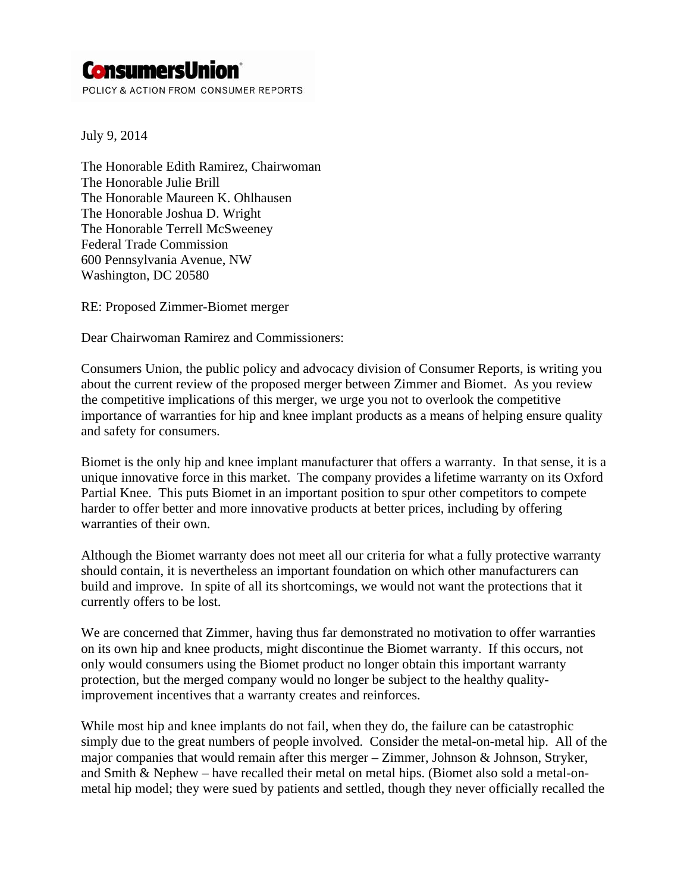## **ConsumersUnion**

POLICY & ACTION FROM CONSUMER REPORTS

July 9, 2014

The Honorable Edith Ramirez, Chairwoman The Honorable Julie Brill The Honorable Maureen K. Ohlhausen The Honorable Joshua D. Wright The Honorable Terrell McSweeney Federal Trade Commission 600 Pennsylvania Avenue, NW Washington, DC 20580

RE: Proposed Zimmer-Biomet merger

Dear Chairwoman Ramirez and Commissioners:

Consumers Union, the public policy and advocacy division of Consumer Reports, is writing you about the current review of the proposed merger between Zimmer and Biomet. As you review the competitive implications of this merger, we urge you not to overlook the competitive importance of warranties for hip and knee implant products as a means of helping ensure quality and safety for consumers.

Biomet is the only hip and knee implant manufacturer that offers a warranty. In that sense, it is a unique innovative force in this market. The company provides a lifetime warranty on its Oxford Partial Knee. This puts Biomet in an important position to spur other competitors to compete harder to offer better and more innovative products at better prices, including by offering warranties of their own.

Although the Biomet warranty does not meet all our criteria for what a fully protective warranty should contain, it is nevertheless an important foundation on which other manufacturers can build and improve. In spite of all its shortcomings, we would not want the protections that it currently offers to be lost.

We are concerned that Zimmer, having thus far demonstrated no motivation to offer warranties on its own hip and knee products, might discontinue the Biomet warranty. If this occurs, not only would consumers using the Biomet product no longer obtain this important warranty protection, but the merged company would no longer be subject to the healthy qualityimprovement incentives that a warranty creates and reinforces.

While most hip and knee implants do not fail, when they do, the failure can be catastrophic simply due to the great numbers of people involved. Consider the metal-on-metal hip. All of the major companies that would remain after this merger – Zimmer, Johnson & Johnson, Stryker, and Smith & Nephew – have recalled their metal on metal hips. (Biomet also sold a metal-onmetal hip model; they were sued by patients and settled, though they never officially recalled the